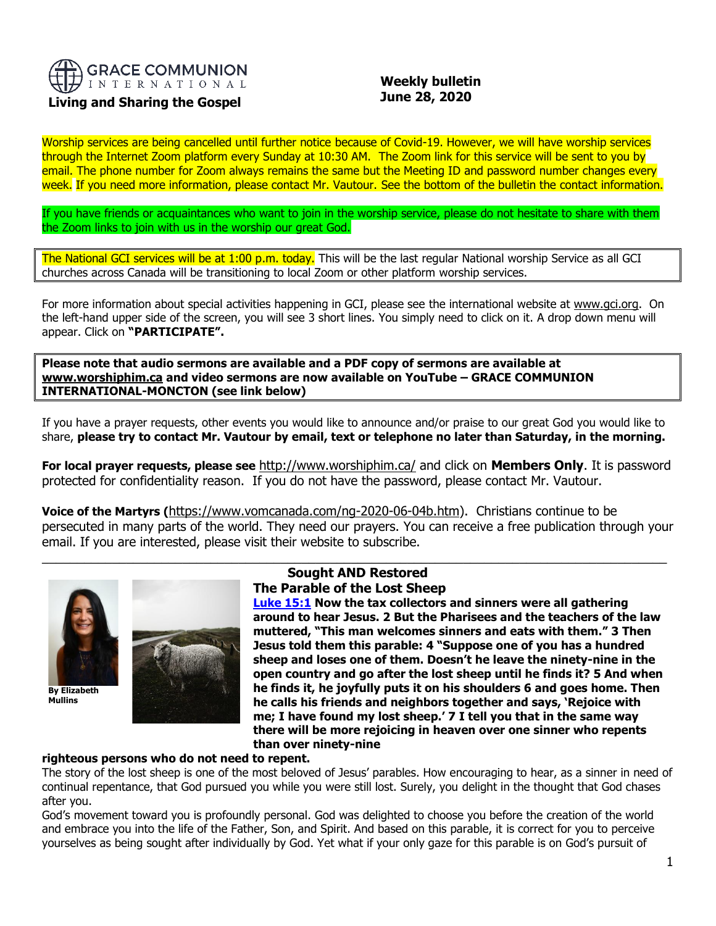

# **Living and Sharing the Gospel**

# **Weekly bulletin June 28, 2020**

Worship services are being cancelled until further notice because of Covid-19. However, we will have worship services through the Internet Zoom platform every Sunday at 10:30 AM. The Zoom link for this service will be sent to you by email. The phone number for Zoom always remains the same but the Meeting ID and password number changes every week. If you need more information, please contact Mr. Vautour. See the bottom of the bulletin the contact information.

If you have friends or acquaintances who want to join in the worship service, please do not hesitate to share with them the Zoom links to join with us in the worship our great God.

The National GCI services will be at 1:00 p.m. today. This will be the last regular National worship Service as all GCI churches across Canada will be transitioning to local Zoom or other platform worship services.

For more information about special activities happening in GCI, please see the international website at [www.gci.org.](http://www.gci.org/) On the left-hand upper side of the screen, you will see 3 short lines. You simply need to click on it. A drop down menu will appear. Click on **"PARTICIPATE".** 

**Please note that audio sermons are available and a PDF copy of sermons are available at [www.worshiphim.ca](http://www.worshiphim.ca/) and video sermons are now available on YouTube – GRACE COMMUNION INTERNATIONAL-MONCTON (see link below)**

If you have a prayer requests, other events you would like to announce and/or praise to our great God you would like to share, **please try to contact Mr. Vautour by email, text or telephone no later than Saturday, in the morning.**

**For local prayer requests, please see** <http://www.worshiphim.ca/> and click on **Members Only**. It is password protected for confidentiality reason. If you do not have the password, please contact Mr. Vautour.

**Voice of the Martyrs (**[https://www.vomcanada.com/ng-2020-06-04b.htm\)](https://www.vomcanada.com/ng-2020-06-04b.htm). Christians continue to be persecuted in many parts of the world. They need our prayers. You can receive a free publication through your email. If you are interested, please visit their website to subscribe.



**By Elizabeth Mullins**



### $\_$  , and the set of the set of the set of the set of the set of the set of the set of the set of the set of the set of the set of the set of the set of the set of the set of the set of the set of the set of the set of th **Sought AND Restored The Parable of the Lost Sheep**

**[Luke 15:1](https://biblia.com/bible/niv/Luke%2015.1) Now the tax collectors and sinners were all gathering around to hear Jesus. 2 But the Pharisees and the teachers of the law muttered, "This man welcomes sinners and eats with them." 3 Then Jesus told them this parable: 4 "Suppose one of you has a hundred sheep and loses one of them. Doesn't he leave the ninety-nine in the open country and go after the lost sheep until he finds it? 5 And when he finds it, he joyfully puts it on his shoulders 6 and goes home. Then he calls his friends and neighbors together and says, 'Rejoice with me; I have found my lost sheep.' 7 I tell you that in the same way there will be more rejoicing in heaven over one sinner who repents than over ninety-nine** 

## **righteous persons who do not need to repent.**

The story of the lost sheep is one of the most beloved of Jesus' parables. How encouraging to hear, as a sinner in need of continual repentance, that God pursued you while you were still lost. Surely, you delight in the thought that God chases after you.

God's movement toward you is profoundly personal. God was delighted to choose you before the creation of the world and embrace you into the life of the Father, Son, and Spirit. And based on this parable, it is correct for you to perceive yourselves as being sought after individually by God. Yet what if your only gaze for this parable is on God's pursuit of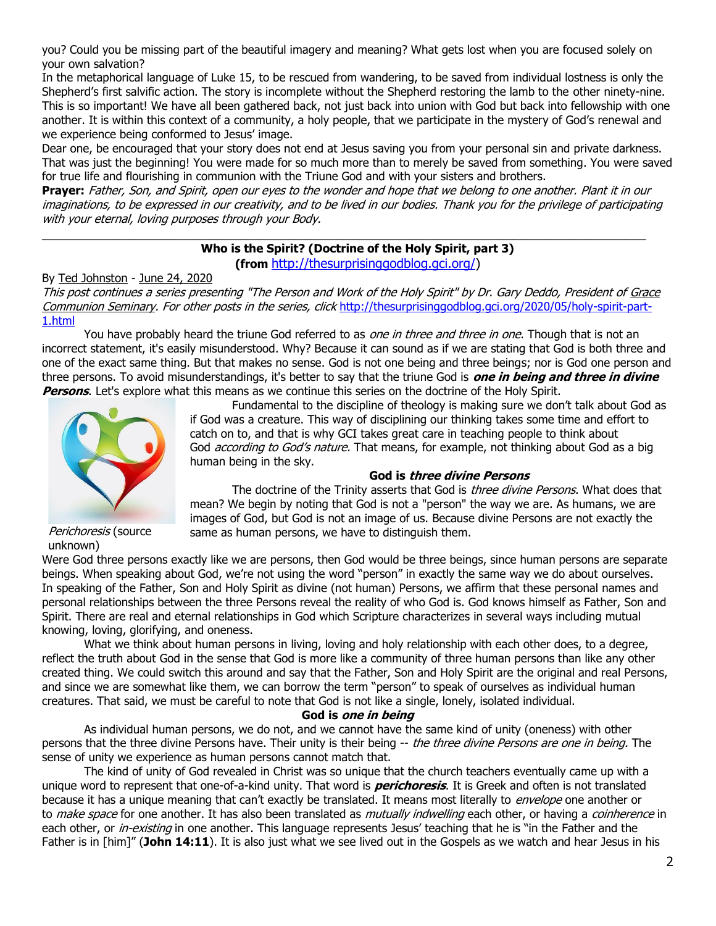you? Could you be missing part of the beautiful imagery and meaning? What gets lost when you are focused solely on your own salvation?

In the metaphorical language of Luke 15, to be rescued from wandering, to be saved from individual lostness is only the Shepherd's first salvific action. The story is incomplete without the Shepherd restoring the lamb to the other ninety-nine. This is so important! We have all been gathered back, not just back into union with God but back into fellowship with one another. It is within this context of a community, a holy people, that we participate in the mystery of God's renewal and we experience being conformed to Jesus' image.

Dear one, be encouraged that your story does not end at Jesus saving you from your personal sin and private darkness. That was just the beginning! You were made for so much more than to merely be saved from something. You were saved for true life and flourishing in communion with the Triune God and with your sisters and brothers.

**Prayer:** Father, Son, and Spirit, open our eyes to the wonder and hope that we belong to one another. Plant it in our imaginations, to be expressed in our creativity, and to be lived in our bodies. Thank you for the privilege of participating with your eternal, loving purposes through your Body.

 $\_$  , and the set of the set of the set of the set of the set of the set of the set of the set of the set of the set of the set of the set of the set of the set of the set of the set of the set of the set of the set of th

## **Who is the Spirit? (Doctrine of the Holy Spirit, part 3) (from** [http://thesurprisinggodblog.gci.org/\)](http://thesurprisinggodblog.gci.org/)

By [Ted Johnston](https://www.blogger.com/profile/08677739021765621811) - [June 24, 2020](http://thesurprisinggodblog.gci.org/2020/06/holy-spirit-part-3.html)

This post continues a series presenting "The Person and Work of the Holy Spirit" by Dr. Gary Deddo, President of [Grace](https://www.gcs.edu/)  [Communion Seminary.](https://www.gcs.edu/) For other posts in the series, click [http://thesurprisinggodblog.gci.org/2020/05/holy-spirit-part-](http://thesurprisinggodblog.gci.org/2020/05/holy-spirit-part-1.html)[1.html](http://thesurprisinggodblog.gci.org/2020/05/holy-spirit-part-1.html)

You have probably heard the triune God referred to as one in three and three in one. Though that is not an incorrect statement, it's easily misunderstood. Why? Because it can sound as if we are stating that God is both three and one of the exact same thing. But that makes no sense. God is not one being and three beings; nor is God one person and three persons. To avoid misunderstandings, it's better to say that the triune God is **one in being and three in divine Persons**. Let's explore what this means as we continue this series on the doctrine of the Holy Spirit.



Fundamental to the discipline of theology is making sure we don't talk about God as if God was a creature. This way of disciplining our thinking takes some time and effort to catch on to, and that is why GCI takes great care in teaching people to think about God *according to God's nature*. That means, for example, not thinking about God as a big human being in the sky.

## **God is three divine Persons**

The doctrine of the Trinity asserts that God is *three divine Persons*. What does that mean? We begin by noting that God is not a "person" the way we are. As humans, we are images of God, but God is not an image of us. Because divine Persons are not exactly the same as human persons, we have to distinguish them.

Perichoresis (source unknown)

Were God three persons exactly like we are persons, then God would be three beings, since human persons are separate beings. When speaking about God, we're not using the word "person" in exactly the same way we do about ourselves. In speaking of the Father, Son and Holy Spirit as divine (not human) Persons, we affirm that these personal names and personal relationships between the three Persons reveal the reality of who God is. God knows himself as Father, Son and Spirit. There are real and eternal relationships in God which Scripture characterizes in several ways including mutual knowing, loving, glorifying, and oneness.

What we think about human persons in living, loving and holy relationship with each other does, to a degree, reflect the truth about God in the sense that God is more like a community of three human persons than like any other created thing. We could switch this around and say that the Father, Son and Holy Spirit are the original and real Persons, and since we are somewhat like them, we can borrow the term "person" to speak of ourselves as individual human creatures. That said, we must be careful to note that God is not like a single, lonely, isolated individual.

## **God is one in being**

As individual human persons, we do not, and we cannot have the same kind of unity (oneness) with other persons that the three divine Persons have. Their unity is their being -- the three divine Persons are one in being. The sense of unity we experience as human persons cannot match that.

The kind of unity of God revealed in Christ was so unique that the church teachers eventually came up with a unique word to represent that one-of-a-kind unity. That word is **perichoresis**. It is Greek and often is not translated because it has a unique meaning that can't exactly be translated. It means most literally to *envelope* one another or to *make space* for one another. It has also been translated as *mutually indwelling* each other, or having a *coinherence* in each other, or in-existing in one another. This language represents Jesus' teaching that he is "in the Father and the Father is in [him]" (**[John 14:11](https://biblia.com/bible/niv/John%2014.11)**). It is also just what we see lived out in the Gospels as we watch and hear Jesus in his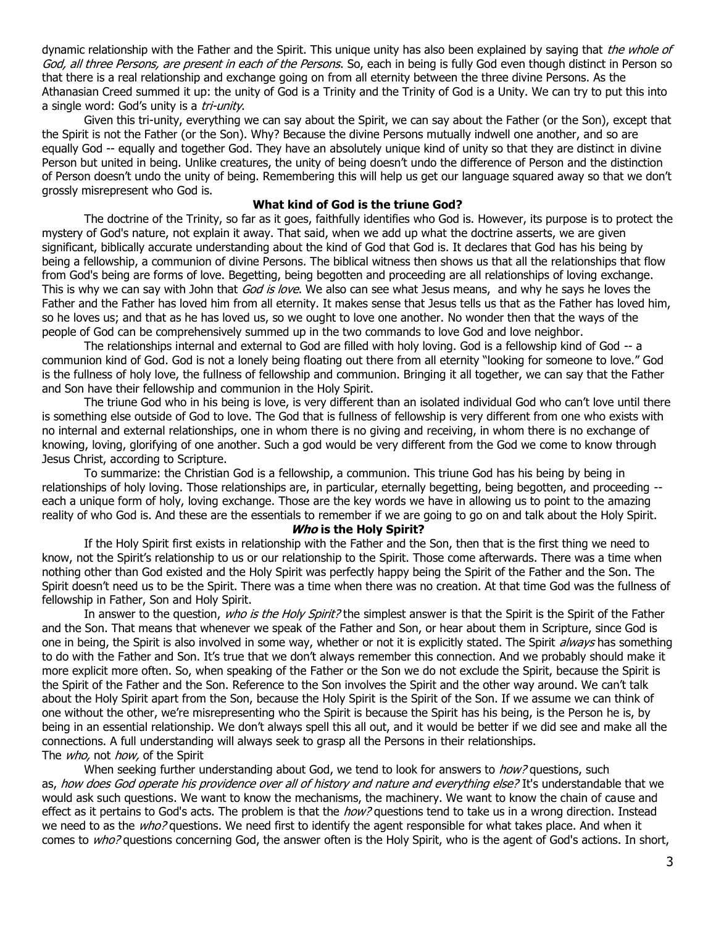dynamic relationship with the Father and the Spirit. This unique unity has also been explained by saying that the whole of God, all three Persons, are present in each of the Persons. So, each in being is fully God even though distinct in Person so that there is a real relationship and exchange going on from all eternity between the three divine Persons. As the Athanasian Creed summed it up: the unity of God is a Trinity and the Trinity of God is a Unity. We can try to put this into a single word: God's unity is a tri-unity.

Given this tri-unity, everything we can say about the Spirit, we can say about the Father (or the Son), except that the Spirit is not the Father (or the Son). Why? Because the divine Persons mutually indwell one another, and so are equally God -- equally and together God. They have an absolutely unique kind of unity so that they are distinct in divine Person but united in being. Unlike creatures, the unity of being doesn't undo the difference of Person and the distinction of Person doesn't undo the unity of being. Remembering this will help us get our language squared away so that we don't grossly misrepresent who God is.

#### **What kind of God is the triune God?**

The doctrine of the Trinity, so far as it goes, faithfully identifies who God is. However, its purpose is to protect the mystery of God's nature, not explain it away. That said, when we add up what the doctrine asserts, we are given significant, biblically accurate understanding about the kind of God that God is. It declares that God has his being by being a fellowship, a communion of divine Persons. The biblical witness then shows us that all the relationships that flow from God's being are forms of love. Begetting, being begotten and proceeding are all relationships of loving exchange. This is why we can say with John that God is love. We also can see what Jesus means, and why he says he loves the Father and the Father has loved him from all eternity. It makes sense that Jesus tells us that as the Father has loved him, so he loves us; and that as he has loved us, so we ought to love one another. No wonder then that the ways of the people of God can be comprehensively summed up in the two commands to love God and love neighbor.

The relationships internal and external to God are filled with holy loving. God is a fellowship kind of God -- a communion kind of God. God is not a lonely being floating out there from all eternity "looking for someone to love." God is the fullness of holy love, the fullness of fellowship and communion. Bringing it all together, we can say that the Father and Son have their fellowship and communion in the Holy Spirit.

The triune God who in his being is love, is very different than an isolated individual God who can't love until there is something else outside of God to love. The God that is fullness of fellowship is very different from one who exists with no internal and external relationships, one in whom there is no giving and receiving, in whom there is no exchange of knowing, loving, glorifying of one another. Such a god would be very different from the God we come to know through Jesus Christ, according to Scripture.

To summarize: the Christian God is a fellowship, a communion. This triune God has his being by being in relationships of holy loving. Those relationships are, in particular, eternally begetting, being begotten, and proceeding - each a unique form of holy, loving exchange. Those are the key words we have in allowing us to point to the amazing reality of who God is. And these are the essentials to remember if we are going to go on and talk about the Holy Spirit.

#### **Who is the Holy Spirit?**

If the Holy Spirit first exists in relationship with the Father and the Son, then that is the first thing we need to know, not the Spirit's relationship to us or our relationship to the Spirit. Those come afterwards. There was a time when nothing other than God existed and the Holy Spirit was perfectly happy being the Spirit of the Father and the Son. The Spirit doesn't need us to be the Spirit. There was a time when there was no creation. At that time God was the fullness of fellowship in Father, Son and Holy Spirit.

In answer to the question, who is the Holy Spirit? the simplest answer is that the Spirit is the Spirit of the Father and the Son. That means that whenever we speak of the Father and Son, or hear about them in Scripture, since God is one in being, the Spirit is also involved in some way, whether or not it is explicitly stated. The Spirit *always* has something to do with the Father and Son. It's true that we don't always remember this connection. And we probably should make it more explicit more often. So, when speaking of the Father or the Son we do not exclude the Spirit, because the Spirit is the Spirit of the Father and the Son. Reference to the Son involves the Spirit and the other way around. We can't talk about the Holy Spirit apart from the Son, because the Holy Spirit is the Spirit of the Son. If we assume we can think of one without the other, we're misrepresenting who the Spirit is because the Spirit has his being, is the Person he is, by being in an essential relationship. We don't always spell this all out, and it would be better if we did see and make all the connections. A full understanding will always seek to grasp all the Persons in their relationships. The *who*, not *how*, of the Spirit

When seeking further understanding about God, we tend to look for answers to *how?* questions, such as, how does God operate his providence over all of history and nature and everything else? It's understandable that we would ask such questions. We want to know the mechanisms, the machinery. We want to know the chain of cause and effect as it pertains to God's acts. The problem is that the *how?* questions tend to take us in a wrong direction. Instead we need to as the who? questions. We need first to identify the agent responsible for what takes place. And when it comes to who? questions concerning God, the answer often is the Holy Spirit, who is the agent of God's actions. In short,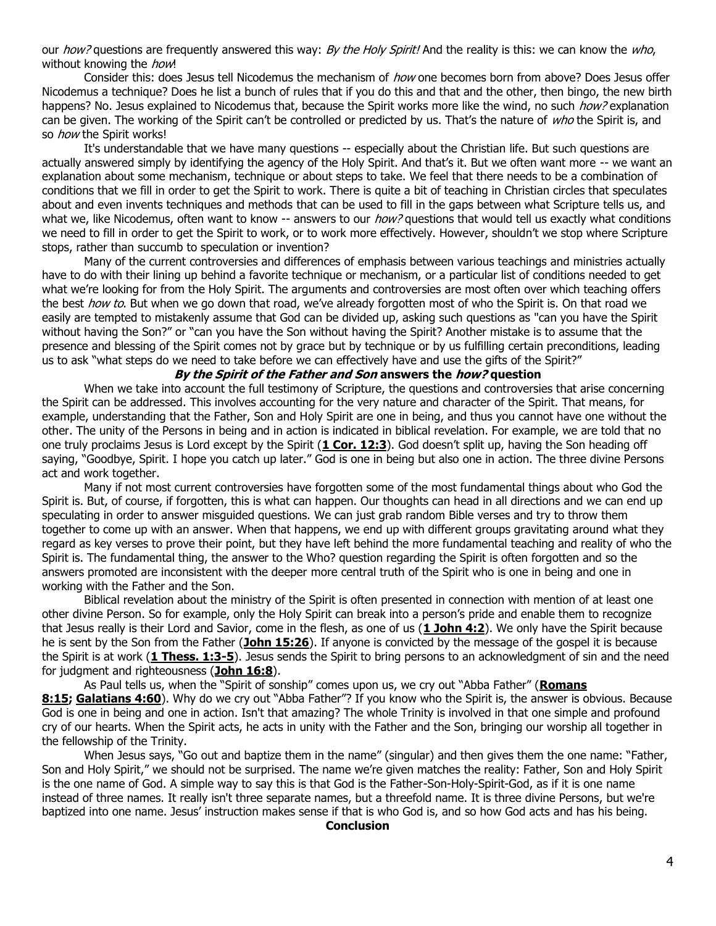our how? questions are frequently answered this way: By the Holy Spirit! And the reality is this: we can know the who, without knowing the how!

Consider this: does Jesus tell Nicodemus the mechanism of how one becomes born from above? Does Jesus offer Nicodemus a technique? Does he list a bunch of rules that if you do this and that and the other, then bingo, the new birth happens? No. Jesus explained to Nicodemus that, because the Spirit works more like the wind, no such how? explanation can be given. The working of the Spirit can't be controlled or predicted by us. That's the nature of who the Spirit is, and so how the Spirit works!

It's understandable that we have many questions -- especially about the Christian life. But such questions are actually answered simply by identifying the agency of the Holy Spirit. And that's it. But we often want more -- we want an explanation about some mechanism, technique or about steps to take. We feel that there needs to be a combination of conditions that we fill in order to get the Spirit to work. There is quite a bit of teaching in Christian circles that speculates about and even invents techniques and methods that can be used to fill in the gaps between what Scripture tells us, and what we, like Nicodemus, often want to know  $-$  answers to our  $how$ ? questions that would tell us exactly what conditions we need to fill in order to get the Spirit to work, or to work more effectively. However, shouldn't we stop where Scripture stops, rather than succumb to speculation or invention?

Many of the current controversies and differences of emphasis between various teachings and ministries actually have to do with their lining up behind a favorite technique or mechanism, or a particular list of conditions needed to get what we're looking for from the Holy Spirit. The arguments and controversies are most often over which teaching offers the best how to. But when we go down that road, we've already forgotten most of who the Spirit is. On that road we easily are tempted to mistakenly assume that God can be divided up, asking such questions as "can you have the Spirit without having the Son?" or "can you have the Son without having the Spirit? Another mistake is to assume that the presence and blessing of the Spirit comes not by grace but by technique or by us fulfilling certain preconditions, leading us to ask "what steps do we need to take before we can effectively have and use the gifts of the Spirit?"

#### **By the Spirit of the Father and Son answers the how? question**

When we take into account the full testimony of Scripture, the questions and controversies that arise concerning the Spirit can be addressed. This involves accounting for the very nature and character of the Spirit. That means, for example, understanding that the Father, Son and Holy Spirit are one in being, and thus you cannot have one without the other. The unity of the Persons in being and in action is indicated in biblical revelation. For example, we are told that no one truly proclaims Jesus is Lord except by the Spirit (**[1 Cor. 12:3](https://biblia.com/bible/niv/1%20Cor.%2012.3)**). God doesn't split up, having the Son heading off saying, "Goodbye, Spirit. I hope you catch up later." God is one in being but also one in action. The three divine Persons act and work together.

Many if not most current controversies have forgotten some of the most fundamental things about who God the Spirit is. But, of course, if forgotten, this is what can happen. Our thoughts can head in all directions and we can end up speculating in order to answer misguided questions. We can just grab random Bible verses and try to throw them together to come up with an answer. When that happens, we end up with different groups gravitating around what they regard as key verses to prove their point, but they have left behind the more fundamental teaching and reality of who the Spirit is. The fundamental thing, the answer to the Who? question regarding the Spirit is often forgotten and so the answers promoted are inconsistent with the deeper more central truth of the Spirit who is one in being and one in working with the Father and the Son.

Biblical revelation about the ministry of the Spirit is often presented in connection with mention of at least one other divine Person. So for example, only the Holy Spirit can break into a person's pride and enable them to recognize that Jesus really is their Lord and Savior, come in the flesh, as one of us (**[1 John 4:2](https://biblia.com/bible/niv/1%20John%204.2)**). We only have the Spirit because he is sent by the Son from the Father (**[John 15:26](https://biblia.com/bible/niv/John%2015.26)**). If anyone is convicted by the message of the gospel it is because the Spirit is at work (**[1 Thess. 1:3-5](https://biblia.com/bible/niv/1%20Thess.%201.3-5)**). Jesus sends the Spirit to bring persons to an acknowledgment of sin and the need for judgment and righteousness (**[John 16:8](https://biblia.com/bible/niv/John%2016.8)**).

As Paul tells us, when the "Spirit of sonship" comes upon us, we cry out "Abba Father" (**[Romans](https://biblia.com/bible/niv/Rom%208.15)  [8:15;](https://biblia.com/bible/niv/Rom%208.15) [Galatians 4:60](https://biblia.com/bible/niv/Gal%204.60)**). Why do we cry out "Abba Father"? If you know who the Spirit is, the answer is obvious. Because God is one in being and one in action. Isn't that amazing? The whole Trinity is involved in that one simple and profound cry of our hearts. When the Spirit acts, he acts in unity with the Father and the Son, bringing our worship all together in the fellowship of the Trinity.

When Jesus says, "Go out and baptize them in the name" (singular) and then gives them the one name: "Father, Son and Holy Spirit," we should not be surprised. The name we're given matches the reality: Father, Son and Holy Spirit is the one name of God. A simple way to say this is that God is the Father-Son-Holy-Spirit-God, as if it is one name instead of three names. It really isn't three separate names, but a threefold name. It is three divine Persons, but we're baptized into one name. Jesus' instruction makes sense if that is who God is, and so how God acts and has his being.